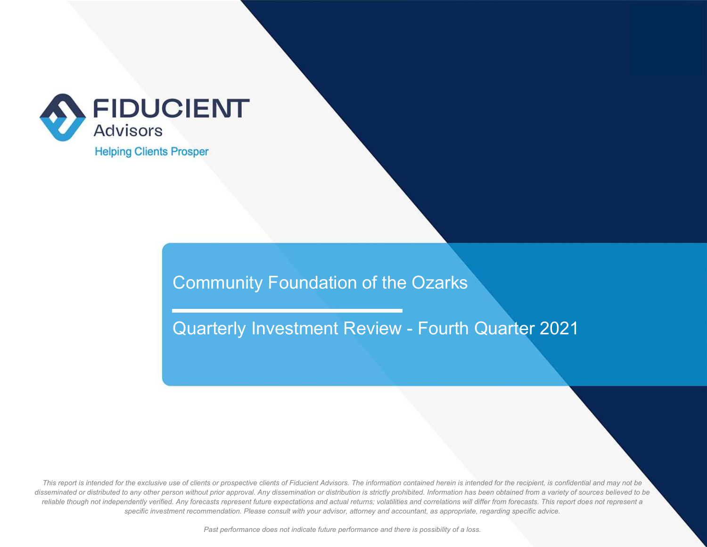

Quarterly Investment Review - Fourth Quarter 2021

*This report is intended for the exclusive use of clients or prospective clients of Fiducient Advisors. The information contained herein is intended for the recipient, is confidential and may not be disseminated or distributed to any other person without prior approval. Any dissemination or distribution is strictly prohibited. Information has been obtained from a variety of sources believed to be reliable though not independently verified. Any forecasts represent future expectations and actual returns; volatilities and correlations will differ from forecasts. This report does not represent a specific investment recommendation. Please consult with your advisor, attorney and accountant, as appropriate, regarding specific advice.*

*Past performance does not indicate future performance and there is possibility of a loss.*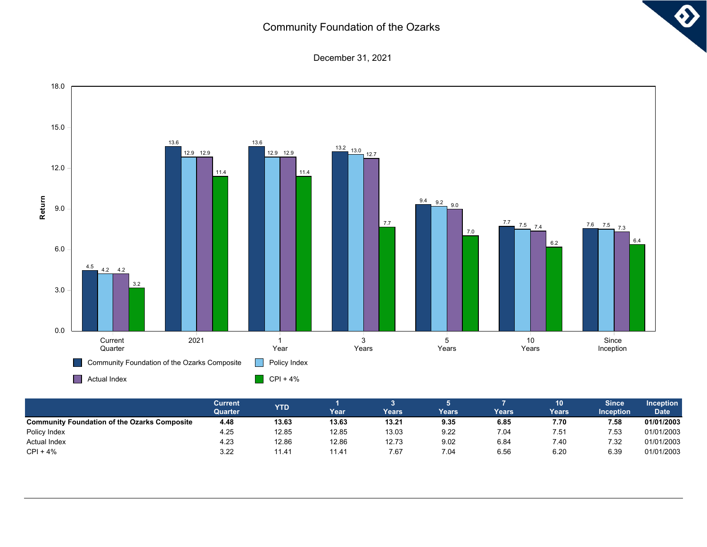$\ddot{\textbf{O}}$ 

December 31, 2021



|                                                     | Current<br>Quarter | <b>YTD</b> | Year  | Years | Years | Years | 10<br>Years | <b>Since</b><br><b>Inception</b> | <b>Inception</b><br><b>Date</b> |
|-----------------------------------------------------|--------------------|------------|-------|-------|-------|-------|-------------|----------------------------------|---------------------------------|
| <b>Community Foundation of the Ozarks Composite</b> | 4.48               | 13.63      | 13.63 | 13.21 | 9.35  | 6.85  | 7.70        | 7.58                             | 01/01/2003                      |
| Policy Index                                        | 4.25               | 12.85      | 12.85 | 13.03 | 9.22  | 7.04  | 7.51        | 7.53                             | 01/01/2003                      |
| <b>Actual Index</b>                                 | 4.23               | 12.86      | 12.86 | 12.73 | 9.02  | 6.84  | 7.40        | 7.32                             | 01/01/2003                      |
| $CPI + 4%$                                          | 3.22               | 11.41      | 11.41 | 7.67  | 7.04  | 6.56  | 6.20        | 6.39                             | 01/01/2003                      |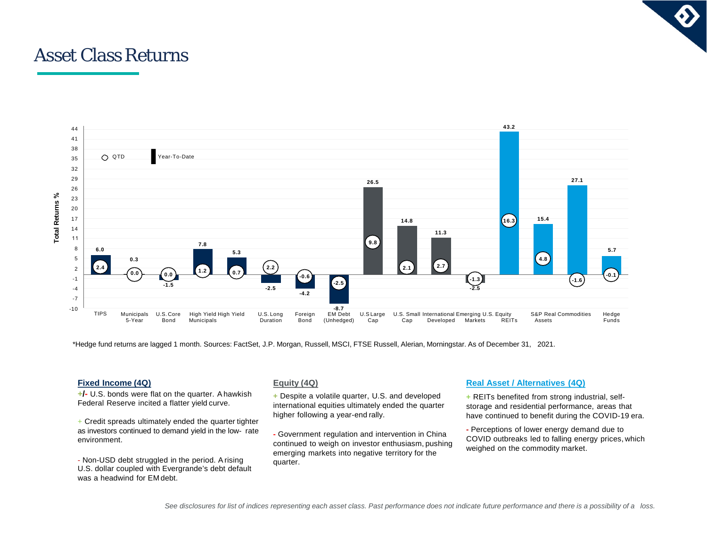# Asset Class Returns



\*Hedge fund returns are lagged 1 month. Sources: FactSet, J.P. Morgan, Russell, MSCI, FTSE Russell, Alerian, Morningstar. As of December 31, 2021.

#### **Fixed Income (4Q)**

**+/-** U.S. bonds were flat on the quarter. Ahawkish Federal Reserve incited a flatter yield curve.

 $+$  Credit spreads ultimately ended the quarter tighter as investors continued to demand yield in the low- rate environment.

- Non-USD debt struggled in the period. Arising U.S. dollar coupled with Evergrande's debt default was a headwind for EM debt.

#### **Equity (4Q)**

**+** Despite a volatile quarter, U.S. and developed international equities ultimately ended the quarter higher following a year-end rally.

**-** Government regulation and intervention in China continued to weigh on investor enthusiasm, pushing emerging markets into negative territory for the quarter.

### **Real Asset / Alternatives (4Q)**

**+** REITs benefited from strong industrial, selfstorage and residential performance, areas that have continued to benefit during the COVID-19 era.

**-** Perceptions of lower energy demand due to COVID outbreaks led to falling energy prices, which weighed on the commodity market.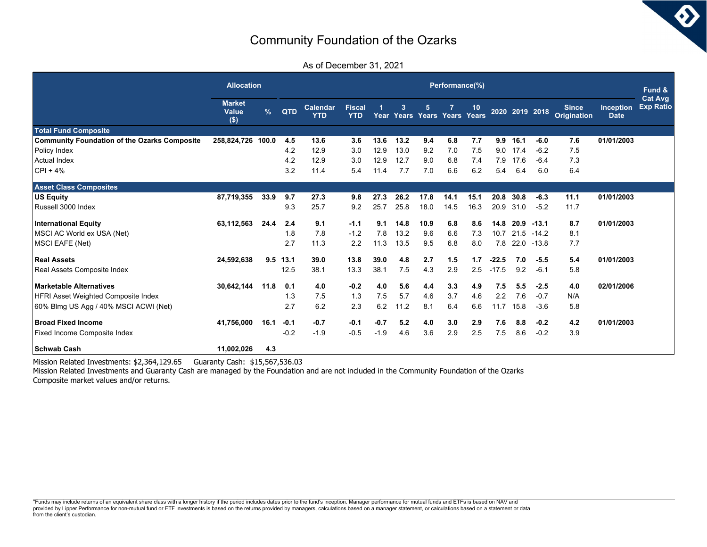6)

| As of December 31, 2021 |  |  |
|-------------------------|--|--|
|-------------------------|--|--|

|                                                     | <b>Allocation</b>                 |      |            | Performance(%)  |                             |        |              |      |                        |             |         |      |                |                                    |                                 |                                    |
|-----------------------------------------------------|-----------------------------------|------|------------|-----------------|-----------------------------|--------|--------------|------|------------------------|-------------|---------|------|----------------|------------------------------------|---------------------------------|------------------------------------|
|                                                     | <b>Market</b><br>Value<br>$($ \$) | $\%$ | QTD        | Calendar<br>YTD | <b>Fiscal</b><br><b>YTD</b> |        | $\mathbf{3}$ | 5    | Year Years Years Years | 10<br>Years |         |      | 2020 2019 2018 | <b>Since</b><br><b>Origination</b> | <b>Inception</b><br><b>Date</b> | <b>Cat Avg</b><br><b>Exp Ratio</b> |
| <b>Total Fund Composite</b>                         |                                   |      |            |                 |                             |        |              |      |                        |             |         |      |                |                                    |                                 |                                    |
| <b>Community Foundation of the Ozarks Composite</b> | 258,824,726 100.0                 |      | 4.5        | 13.6            | 3.6                         | 13.6   | 13.2         | 9.4  | 6.8                    | 7.7         | 9.9     | 16.1 | $-6.0$         | 7.6                                | 01/01/2003                      |                                    |
| Policy Index                                        |                                   |      | 4.2        | 12.9            | 3.0                         | 12.9   | 13.0         | 9.2  | 7.0                    | 7.5         | 9.0     | 17.4 | $-6.2$         | 7.5                                |                                 |                                    |
| Actual Index                                        |                                   |      | 4.2        | 12.9            | 3.0                         | 12.9   | 12.7         | 9.0  | 6.8                    | 7.4         | 7.9     | 17.6 | $-6.4$         | 7.3                                |                                 |                                    |
| $ CP  + 4%$                                         |                                   |      | 3.2        | 11.4            | 5.4                         | 11.4   | 7.7          | 7.0  | 6.6                    | 6.2         | 5.4     | 6.4  | 6.0            | 6.4                                |                                 |                                    |
| <b>Asset Class Composites</b>                       |                                   |      |            |                 |                             |        |              |      |                        |             |         |      |                |                                    |                                 |                                    |
| <b>US Equity</b>                                    | 87,719,355                        | 33.9 | 9.7        | 27.3            | 9.8                         | 27.3   | 26.2         | 17.8 | 14.1                   | 15.1        | 20.8    | 30.8 | $-6.3$         | 11.1                               | 01/01/2003                      |                                    |
| Russell 3000 Index                                  |                                   |      | 9.3        | 25.7            | 9.2                         | 25.7   | 25.8         | 18.0 | 14.5                   | 16.3        | 20.9    | 31.0 | $-5.2$         | 11.7                               |                                 |                                    |
| <b>International Equity</b>                         | 63,112,563                        | 24.4 | 2.4        | 9.1             | $-1.1$                      | 9.1    | 14.8         | 10.9 | 6.8                    | 8.6         | 14.8    | 20.9 | $-13.1$        | 8.7                                | 01/01/2003                      |                                    |
| MSCI AC World ex USA (Net)                          |                                   |      | 1.8        | 7.8             | $-1.2$                      | 7.8    | 13.2         | 9.6  | 6.6                    | 7.3         | 10.7    | 21.5 | $-14.2$        | 8.1                                |                                 |                                    |
| MSCI EAFE (Net)                                     |                                   |      | 2.7        | 11.3            | 2.2                         | 11.3   | 13.5         | 9.5  | 6.8                    | 8.0         | 7.8     | 22.0 | $-13.8$        | 7.7                                |                                 |                                    |
| Real Assets                                         | 24,592,638                        |      | $9.5$ 13.1 | 39.0            | 13.8                        | 39.0   | 4.8          | 2.7  | 1.5                    | 1.7         | $-22.5$ | 7.0  | $-5.5$         | 5.4                                | 01/01/2003                      |                                    |
| Real Assets Composite Index                         |                                   |      | 12.5       | 38.1            | 13.3                        | 38.1   | 7.5          | 4.3  | 2.9                    | 2.5         | $-17.5$ | 9.2  | $-6.1$         | 5.8                                |                                 |                                    |
| Marketable Alternatives                             | 30.642.144                        | 11.8 | 0.1        | 4.0             | $-0.2$                      | 4.0    | 5.6          | 4.4  | 3.3                    | 4.9         | 7.5     | 5.5  | $-2.5$         | 4.0                                | 02/01/2006                      |                                    |
| <b>HFRI Asset Weighted Composite Index</b>          |                                   |      | 1.3        | 7.5             | 1.3                         | 7.5    | 5.7          | 4.6  | 3.7                    | 4.6         | 2.2     | 7.6  | $-0.7$         | N/A                                |                                 |                                    |
| 60% Blmg US Agg / 40% MSCI ACWI (Net)               |                                   |      | 2.7        | 6.2             | 2.3                         | 6.2    | 11.2         | 8.1  | 6.4                    | 6.6         | 11.7    | 15.8 | $-3.6$         | 5.8                                |                                 |                                    |
| <b>IBroad Fixed Income</b>                          | 41,756,000                        | 16.1 | $-0.1$     | $-0.7$          | $-0.1$                      | $-0.7$ | 5.2          | 4.0  | 3.0                    | 2.9         | 7.6     | 8.8  | $-0.2$         | 4.2                                | 01/01/2003                      |                                    |
| <b>Fixed Income Composite Index</b>                 |                                   |      | $-0.2$     | $-1.9$          | $-0.5$                      | $-1.9$ | 4.6          | 3.6  | 2.9                    | 2.5         | 7.5     | 8.6  | $-0.2$         | 3.9                                |                                 |                                    |
| <b>Schwab Cash</b>                                  | 11,002,026                        | 4.3  |            |                 |                             |        |              |      |                        |             |         |      |                |                                    |                                 |                                    |

Mission Related Investments: \$2,364,129.65 Guaranty Cash: \$15,567,536.03

Mission Related Investments and Guaranty Cash are managed by the Foundation and are not included in the Community Foundation of the Ozarks Composite market values and/or returns.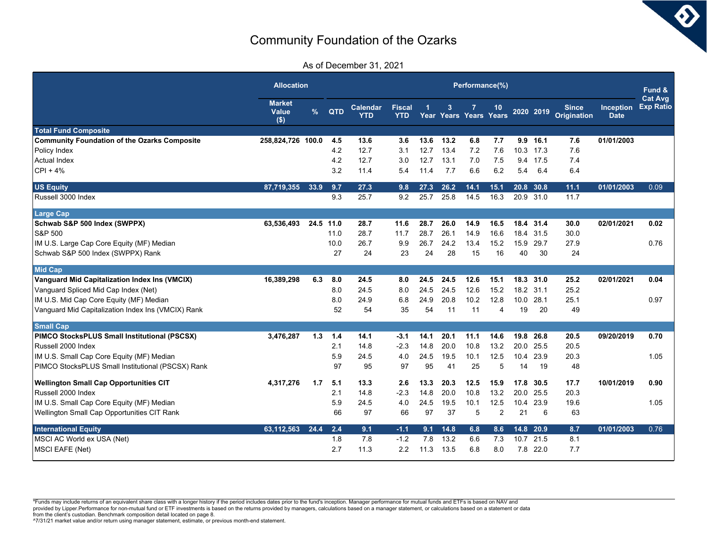As of December 31, 2021

|                                                     | <b>Allocation</b>               |               |      | Performance(%)                |                             |      |      |                             |                |      |           |                                    |                                 |                                    |  |
|-----------------------------------------------------|---------------------------------|---------------|------|-------------------------------|-----------------------------|------|------|-----------------------------|----------------|------|-----------|------------------------------------|---------------------------------|------------------------------------|--|
|                                                     | <b>Market</b><br>Value<br>$($)$ | $\frac{9}{6}$ | QTD  | <b>Calendar</b><br><b>YTD</b> | <b>Fiscal</b><br><b>YTD</b> | 1    | 3    | 7<br>Year Years Years Years | 10             |      | 2020 2019 | <b>Since</b><br><b>Origination</b> | <b>Inception</b><br><b>Date</b> | <b>Cat Avg</b><br><b>Exp Ratio</b> |  |
| <b>Total Fund Composite</b>                         |                                 |               |      |                               |                             |      |      |                             |                |      |           |                                    |                                 |                                    |  |
| <b>Community Foundation of the Ozarks Composite</b> | 258,824,726 100.0               |               | 4.5  | 13.6                          | 3.6                         | 13.6 | 13.2 | 6.8                         | 7.7            | 9.9  | 16.1      | 7.6                                | 01/01/2003                      |                                    |  |
| Policy Index                                        |                                 |               | 4.2  | 12.7                          | 3.1                         | 12.7 | 13.4 | 7.2                         | 7.6            | 10.3 | 17.3      | 7.6                                |                                 |                                    |  |
| Actual Index                                        |                                 |               | 4.2  | 12.7                          | 3.0                         | 12.7 | 13.1 | 7.0                         | 7.5            | 9.4  | 17.5      | 7.4                                |                                 |                                    |  |
| $CPI + 4%$                                          |                                 |               | 3.2  | 11.4                          | 5.4                         | 11.4 | 7.7  | 6.6                         | 6.2            | 5.4  | 6.4       | 6.4                                |                                 |                                    |  |
| <b>US Equity</b>                                    | 87,719,355                      | 33.9          | 9.7  | 27.3                          | 9.8                         | 27.3 | 26.2 | 14.1                        | 15.1           | 20.8 | 30.8      | 11.1                               | 01/01/2003                      | 0.09                               |  |
| Russell 3000 Index                                  |                                 |               | 9.3  | 25.7                          | 9.2                         | 25.7 | 25.8 | 14.5                        | 16.3           |      | 20.9 31.0 | 11.7                               |                                 |                                    |  |
| <b>Large Cap</b>                                    |                                 |               |      |                               |                             |      |      |                             |                |      |           |                                    |                                 |                                    |  |
| Schwab S&P 500 Index (SWPPX)                        | 63,536,493                      | 24.5 11.0     |      | 28.7                          | 11.6                        | 28.7 | 26.0 | 14.9                        | 16.5           |      | 18.4 31.4 | 30.0                               | 02/01/2021                      | 0.02                               |  |
| <b>S&amp;P 500</b>                                  |                                 |               | 11.0 | 28.7                          | 11.7                        | 28.7 | 26.1 | 14.9                        | 16.6           | 18.4 | 31.5      | 30.0                               |                                 |                                    |  |
| IM U.S. Large Cap Core Equity (MF) Median           |                                 |               | 10.0 | 26.7                          | 9.9                         | 26.7 | 24.2 | 13.4                        | 15.2           | 15.9 | 29.7      | 27.9                               |                                 | 0.76                               |  |
| Schwab S&P 500 Index (SWPPX) Rank                   |                                 |               | 27   | 24                            | 23                          | 24   | 28   | 15                          | 16             | 40   | 30        | 24                                 |                                 |                                    |  |
| <b>Mid Cap</b>                                      |                                 |               |      |                               |                             |      |      |                             |                |      |           |                                    |                                 |                                    |  |
| Vanguard Mid Capitalization Index Ins (VMCIX)       | 16,389,298                      | 6.3           | 8.0  | 24.5                          | 8.0                         | 24.5 | 24.5 | 12.6                        | 15.1           | 18.3 | 31.0      | 25.2                               | 02/01/2021                      | 0.04                               |  |
| Vanguard Spliced Mid Cap Index (Net)                |                                 |               | 8.0  | 24.5                          | 8.0                         | 24.5 | 24.5 | 12.6                        | 15.2           |      | 18.2 31.1 | 25.2                               |                                 |                                    |  |
| IM U.S. Mid Cap Core Equity (MF) Median             |                                 |               | 8.0  | 24.9                          | 6.8                         | 24.9 | 20.8 | 10.2                        | 12.8           | 10.0 | 28.1      | 25.1                               |                                 | 0.97                               |  |
| Vanguard Mid Capitalization Index Ins (VMCIX) Rank  |                                 |               | 52   | 54                            | 35                          | 54   | 11   | 11                          | 4              | 19   | 20        | 49                                 |                                 |                                    |  |
| <b>Small Cap</b>                                    |                                 |               |      |                               |                             |      |      |                             |                |      |           |                                    |                                 |                                    |  |
| PIMCO StocksPLUS Small Institutional (PSCSX)        | 3,476,287                       | 1.3           | 1.4  | 14.1                          | -3.1                        | 14.1 | 20.1 | 11.1                        | 14.6           | 19.8 | 26.8      | 20.5                               | 09/20/2019                      | 0.70                               |  |
| Russell 2000 Index                                  |                                 |               | 2.1  | 14.8                          | $-2.3$                      | 14.8 | 20.0 | 10.8                        | 13.2           | 20.0 | 25.5      | 20.5                               |                                 |                                    |  |
| IM U.S. Small Cap Core Equity (MF) Median           |                                 |               | 5.9  | 24.5                          | 4.0                         | 24.5 | 19.5 | 10.1                        | 12.5           | 10.4 | 23.9      | 20.3                               |                                 | 1.05                               |  |
| PIMCO StocksPLUS Small Institutional (PSCSX) Rank   |                                 |               | 97   | 95                            | 97                          | 95   | 41   | 25                          | 5              | 14   | 19        | 48                                 |                                 |                                    |  |
| <b>Wellington Small Cap Opportunities CIT</b>       | 4,317,276                       | 1.7           | 5.1  | 13.3                          | 2.6                         | 13.3 | 20.3 | 12.5                        | 15.9           | 17.8 | 30.5      | 17.7                               | 10/01/2019                      | 0.90                               |  |
| Russell 2000 Index                                  |                                 |               | 2.1  | 14.8                          | $-2.3$                      | 14.8 | 20.0 | 10.8                        | 13.2           | 20.0 | 25.5      | 20.3                               |                                 |                                    |  |
| IM U.S. Small Cap Core Equity (MF) Median           |                                 |               | 5.9  | 24.5                          | 4.0                         | 24.5 | 19.5 | 10.1                        | 12.5           | 10.4 | 23.9      | 19.6                               |                                 | 1.05                               |  |
| Wellington Small Cap Opportunities CIT Rank         |                                 |               | 66   | 97                            | 66                          | 97   | 37   | 5                           | $\overline{2}$ | 21   | 6         | 63                                 |                                 |                                    |  |
| <b>International Equity</b>                         | 63,112,563                      | 24.4          | 2.4  | 9.1                           | $-1.1$                      | 9.1  | 14.8 | 6.8                         | 8.6            |      | 14.8 20.9 | 8.7                                | 01/01/2003                      | 0.76                               |  |
| MSCI AC World ex USA (Net)                          |                                 |               | 1.8  | 7.8                           | $-1.2$                      | 7.8  | 13.2 | 6.6                         | 7.3            | 10.7 | 21.5      | 8.1                                |                                 |                                    |  |
| <b>MSCI EAFE (Net)</b>                              |                                 |               | 2.7  | 11.3                          | 2.2                         | 11.3 | 13.5 | 6.8                         | 8.0            |      | 7.8 22.0  | 7.7                                |                                 |                                    |  |

\*Funds may include returns of an equivalent share class with a longer history if the period includes dates prior to the fund's inception. Manager performance for mutual funds and ETFs is based on NAV and provided by Lipper.Performance for non-mutual fund or ETF investments is based on the returns provided by managers, calculations based on a manager statement, or calculations based on a statement or data<br>from the client's

 $\bm{\delta}$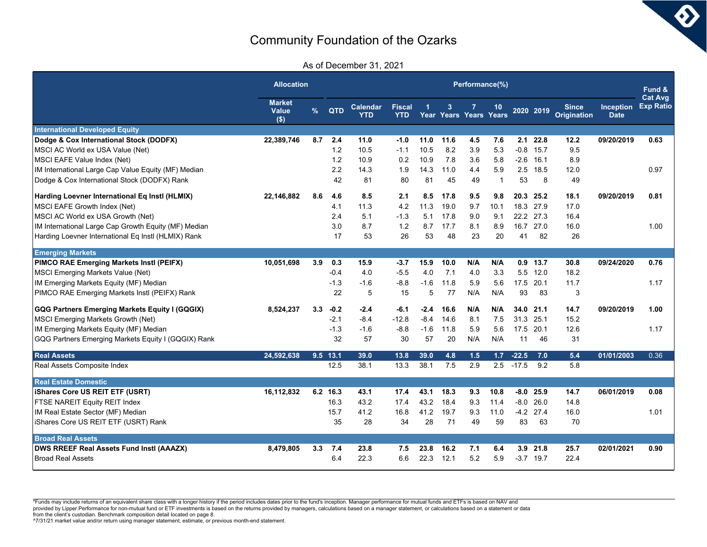$\bm{\delta}$ 

As of December 31, 2021

|                                                      | <b>Allocation</b>                 |               |            | Performance(%)         |                             |        |      |                        |              |         |             |                                    |                                 |                                    |  |
|------------------------------------------------------|-----------------------------------|---------------|------------|------------------------|-----------------------------|--------|------|------------------------|--------------|---------|-------------|------------------------------------|---------------------------------|------------------------------------|--|
|                                                      | <b>Market</b><br>Value<br>$($ \$) | $\frac{9}{6}$ | QTD        | <b>Calendar</b><br>YTD | <b>Fiscal</b><br><b>YTD</b> |        | 3    | Year Years Years Years | 10           |         | 2020 2019   | <b>Since</b><br><b>Origination</b> | <b>Inception</b><br><b>Date</b> | <b>Cat Avg</b><br><b>Exp Ratio</b> |  |
| <b>International Developed Equity</b>                |                                   |               |            |                        |                             |        |      |                        |              |         |             |                                    |                                 |                                    |  |
| Dodge & Cox International Stock (DODFX)              | 22,389,746                        | 8.7           | 2.4        | 11.0                   | $-1.0$                      | 11.0   | 11.6 | 4.5                    | 7.6          | 2.1     | 22.8        | 12.2                               | 09/20/2019                      | 0.63                               |  |
| MSCI AC World ex USA Value (Net)                     |                                   |               | 1.2        | 10.5                   | $-1.1$                      | 10.5   | 8.2  | 3.9                    | 5.3          | $-0.8$  | 15.7        | 9.5                                |                                 |                                    |  |
| MSCI EAFE Value Index (Net)                          |                                   |               | 1.2        | 10.9                   | 0.2                         | 10.9   | 7.8  | 3.6                    | 5.8          | $-2.6$  | 16.1        | 8.9                                |                                 |                                    |  |
| IM International Large Cap Value Equity (MF) Median  |                                   |               | 2.2        | 14.3                   | 1.9                         | 14.3   | 11.0 | 4.4                    | 5.9          | 2.5     | 18.5        | 12.0                               |                                 | 0.97                               |  |
| Dodge & Cox International Stock (DODFX) Rank         |                                   |               | 42         | 81                     | 80                          | 81     | 45   | 49                     | $\mathbf{1}$ | 53      | 8           | 49                                 |                                 |                                    |  |
| Harding Loevner International Eq Instl (HLMIX)       | 22,146,882                        | 8.6           | 4.6        | 8.5                    | 2.1                         | 8.5    | 17.8 | 9.5                    | 9.8          | 20.3    | 25.2        | 18.1                               | 09/20/2019                      | 0.81                               |  |
| MSCI EAFE Growth Index (Net)                         |                                   |               | 4.1        | 11.3                   | 4.2                         | 11.3   | 19.0 | 9.7                    | 10.1         | 18.3    | 27.9        | 17.0                               |                                 |                                    |  |
| MSCI AC World ex USA Growth (Net)                    |                                   |               | 2.4        | 5.1                    | $-1.3$                      | 5.1    | 17.8 | 9.0                    | 9.1          | 22.2    | 27.3        | 16.4                               |                                 |                                    |  |
| IM International Large Cap Growth Equity (MF) Median |                                   |               | 3.0        | 8.7                    | 1.2                         | 8.7    | 17.7 | 8.1                    | 8.9          | 16.7    | 27.0        | 16.0                               |                                 | 1.00                               |  |
| Harding Loevner International Eq Instl (HLMIX) Rank  |                                   |               | 17         | 53                     | 26                          | 53     | 48   | 23                     | 20           | 41      | 82          | 26                                 |                                 |                                    |  |
| <b>Emerging Markets</b>                              |                                   |               |            |                        |                             |        |      |                        |              |         |             |                                    |                                 |                                    |  |
| PIMCO RAE Emerging Markets Instl (PEIFX)             | 10,051,698                        | 3.9           | 0.3        | 15.9                   | $-3.7$                      | 15.9   | 10.0 | N/A                    | N/A          | 0.9     | 13.7        | 30.8                               | 09/24/2020                      | 0.76                               |  |
| MSCI Emerging Markets Value (Net)                    |                                   |               | $-0.4$     | 4.0                    | $-5.5$                      | 4.0    | 7.1  | 4.0                    | 3.3          | 5.5     | 12.0        | 18.2                               |                                 |                                    |  |
| IM Emerging Markets Equity (MF) Median               |                                   |               | $-1.3$     | $-1.6$                 | $-8.8$                      | $-1.6$ | 11.8 | 5.9                    | 5.6          | 17.5    | 20.1        | 11.7                               |                                 | 1.17                               |  |
| PIMCO RAE Emerging Markets Instl (PEIFX) Rank        |                                   |               | 22         | 5                      | 15                          | 5      | 77   | N/A                    | N/A          | 93      | 83          | 3                                  |                                 |                                    |  |
| GQG Partners Emerging Markets Equity I (GQGIX)       | 8.524.237                         | 3.3           | $-0.2$     | $-2.4$                 | $-6.1$                      | $-2.4$ | 16.6 | N/A                    | N/A          | 34.0    | 21.1        | 14.7                               | 09/20/2019                      | 1.00                               |  |
| MSCI Emerging Markets Growth (Net)                   |                                   |               | $-2.1$     | $-8.4$                 | $-12.8$                     | $-8.4$ | 14.6 | 8.1                    | 7.5          | 31.3    | 25.1        | 15.2                               |                                 |                                    |  |
| IM Emerging Markets Equity (MF) Median               |                                   |               | $-1.3$     | $-1.6$                 | $-8.8$                      | $-1.6$ | 11.8 | 5.9                    | 5.6          | 17.5    | 20.1        | 12.6                               |                                 | 1.17                               |  |
| GQG Partners Emerging Markets Equity I (GQGIX) Rank  |                                   |               | 32         | 57                     | 30                          | 57     | 20   | N/A                    | N/A          | 11      | 46          | 31                                 |                                 |                                    |  |
| <b>Real Assets</b>                                   | 24.592.638                        |               | $9.5$ 13.1 | 39.0                   | 13.8                        | 39.0   | 4.8  | 1.5                    | 1.7          | $-22.5$ | 7.0         | 5.4                                | 01/01/2003                      | 0.36                               |  |
| Real Assets Composite Index                          |                                   |               | 12.5       | 38.1                   | 13.3                        | 38.1   | 7.5  | 2.9                    | 2.5          | $-17.5$ | 9.2         | 5.8                                |                                 |                                    |  |
| <b>Real Estate Domestic</b>                          |                                   |               |            |                        |                             |        |      |                        |              |         |             |                                    |                                 |                                    |  |
| <b>IShares Core US REIT ETF (USRT)</b>               | 16,112,832                        | 6.2           | 16.3       | 43.1                   | 17.4                        | 43.1   | 18.3 | 9.3                    | 10.8         | -8.0    | 25.9        | 14.7                               | 06/01/2019                      | 0.08                               |  |
| FTSE NAREIT Equity REIT Index                        |                                   |               | 16.3       | 43.2                   | 17.4                        | 43.2   | 18.4 | 9.3                    | 11.4         | $-8.0$  | 26.0        | 14.8                               |                                 |                                    |  |
| IM Real Estate Sector (MF) Median                    |                                   |               | 15.7       | 41.2                   | 16.8                        | 41.2   | 19.7 | 9.3                    | 11.0         | $-4.2$  | 27.4        | 16.0                               |                                 | 1.01                               |  |
| iShares Core US REIT ETF (USRT) Rank                 |                                   |               | 35         | 28                     | 34                          | 28     | 71   | 49                     | 59           | 83      | 63          | 70                                 |                                 |                                    |  |
| <b>Broad Real Assets</b>                             |                                   |               |            |                        |                             |        |      |                        |              |         |             |                                    |                                 |                                    |  |
| <b>DWS RREEF Real Assets Fund Instl (AAAZX)</b>      | 8,479,805                         | 3.3           | 7.4        | 23.8                   | 7.5                         | 23.8   | 16.2 | 7.1                    | 6.4          | 3.9     | 21.8        | 25.7                               | 02/01/2021                      | 0.90                               |  |
| <b>Broad Real Assets</b>                             |                                   |               | 6.4        | 22.3                   | 6.6                         | 22.3   | 12.1 | 5.2                    | 5.9          |         | $-3.7$ 19.7 | 22.4                               |                                 |                                    |  |

\*Funds may include returns of an equivalent share class with a longer history if the period includes dates prior to the fund's inception. Manager performance for mutual funds and ETFs is based on NAV and

provided by Lipper.Performance for non-mutual fund or ETF investments is based on the returns provided by managers, calculations based on a manager statement, or calculations based on a statement or data<br>from the client's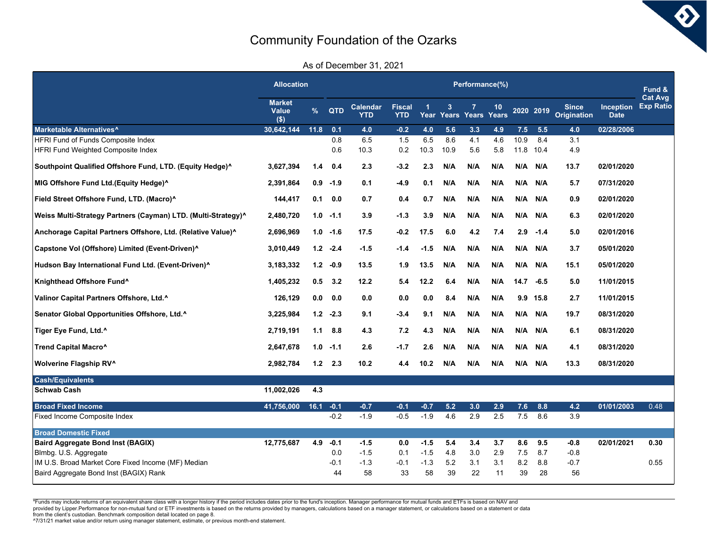$\bm{\delta}$ 

As of December 31, 2021

|                                                               | <b>Allocation</b>                 | Performance(%) |        |                        |                             |            |      |                  |                    |      |           |                             |                                 |                                    |
|---------------------------------------------------------------|-----------------------------------|----------------|--------|------------------------|-----------------------------|------------|------|------------------|--------------------|------|-----------|-----------------------------|---------------------------------|------------------------------------|
|                                                               | <b>Market</b><br>Value<br>$($ \$) | $\frac{9}{6}$  | QTD    | Calendar<br><b>YTD</b> | <b>Fiscal</b><br><b>YTD</b> | -1<br>Year | 3    | 7<br>Years Years | 10<br><b>Years</b> |      | 2020 2019 | <b>Since</b><br>Origination | <b>Inception</b><br><b>Date</b> | <b>Cat Avg</b><br><b>Exp Ratio</b> |
| Marketable Alternatives <sup>^</sup>                          | 30,642,144                        | 11.8           | 0.1    | 4.0                    | $-0.2$                      | 4.0        | 5.6  | 3.3              | 4.9                | 7.5  | 5.5       | 4.0                         | 02/28/2006                      |                                    |
| HFRI Fund of Funds Composite Index                            |                                   |                | 0.8    | 6.5                    | 1.5                         | 6.5        | 8.6  | 4.1              | 4.6                | 10.9 | 8.4       | 3.1                         |                                 |                                    |
| HFRI Fund Weighted Composite Index                            |                                   |                | 0.6    | 10.3                   | 0.2                         | 10.3       | 10.9 | 5.6              | 5.8                | 11.8 | 10.4      | 4.9                         |                                 |                                    |
| Southpoint Qualified Offshore Fund, LTD. (Equity Hedge)^      | 3,627,394                         | 1.4            | 0.4    | 2.3                    | $-3.2$                      | 2.3        | N/A  | N/A              | N/A                | N/A  | N/A       | 13.7                        | 02/01/2020                      |                                    |
| MIG Offshore Fund Ltd.(Equity Hedge)^                         | 2,391,864                         | 0.9            | $-1.9$ | 0.1                    | $-4.9$                      | 0.1        | N/A  | N/A              | N/A                | N/A  | N/A       | 5.7                         | 07/31/2020                      |                                    |
| Field Street Offshore Fund, LTD. (Macro)^                     | 144,417                           | 0.1            | 0.0    | 0.7                    | 0.4                         | 0.7        | N/A  | N/A              | N/A                | N/A  | N/A       | 0.9                         | 02/01/2020                      |                                    |
| Weiss Multi-Strategy Partners (Cayman) LTD. (Multi-Strategy)^ | 2,480,720                         | 1.0            | $-1.1$ | 3.9                    | $-1.3$                      | 3.9        | N/A  | N/A              | N/A                | N/A  | N/A       | 6.3                         | 02/01/2020                      |                                    |
| Anchorage Capital Partners Offshore, Ltd. (Relative Value)^   | 2,696,969                         | 1.0            | $-1.6$ | 17.5                   | $-0.2$                      | 17.5       | 6.0  | 4.2              | 7.4                | 2.9  | $-1.4$    | 5.0                         | 02/01/2016                      |                                    |
| Capstone Vol (Offshore) Limited (Event-Driven)^               | 3,010,449                         | 1.2            | $-2.4$ | -1.5                   | -1.4                        | $-1.5$     | N/A  | N/A              | N/A                | N/A  | N/A       | 3.7                         | 05/01/2020                      |                                    |
| Hudson Bay International Fund Ltd. (Event-Driven)^            | 3,183,332                         | 1.2            | -0.9   | 13.5                   | 1.9                         | 13.5       | N/A  | N/A              | N/A                | N/A  | N/A       | 15.1                        | 05/01/2020                      |                                    |
| Knighthead Offshore Fund <sup>^</sup>                         | 1,405,232                         | 0.5            | 3.2    | 12.2                   | 5.4                         | 12.2       | 6.4  | N/A              | N/A                | 14.7 | $-6.5$    | 5.0                         | 11/01/2015                      |                                    |
| Valinor Capital Partners Offshore, Ltd.^                      | 126,129                           | 0.0            | 0.0    | 0.0                    | 0.0                         | 0.0        | 8.4  | N/A              | N/A                | 9.9  | 15.8      | 2.7                         | 11/01/2015                      |                                    |
| Senator Global Opportunities Offshore, Ltd.^                  | 3,225,984                         | 1.2            | $-2.3$ | 9.1                    | $-3.4$                      | 9.1        | N/A  | N/A              | N/A                | N/A  | N/A       | 19.7                        | 08/31/2020                      |                                    |
| Tiger Eye Fund, Ltd.^                                         | 2,719,191                         | 1.1            | 8.8    | 4.3                    | 7.2                         | 4.3        | N/A  | N/A              | N/A                | N/A  | N/A       | 6.1                         | 08/31/2020                      |                                    |
| Trend Capital Macro^                                          | 2,647,678                         | 1.0            | $-1.1$ | 2.6                    | -1.7                        | 2.6        | N/A  | N/A              | N/A                | N/A  | N/A       | 4.1                         | 08/31/2020                      |                                    |
| <b>Wolverine Flagship RV^</b>                                 | 2,982,784                         | 1.2            | 2.3    | 10.2                   | 4.4                         | 10.2       | N/A  | N/A              | N/A                | N/A  | N/A       | 13.3                        | 08/31/2020                      |                                    |
| <b>Cash/Equivalents</b>                                       |                                   |                |        |                        |                             |            |      |                  |                    |      |           |                             |                                 |                                    |
| Schwab Cash                                                   | 11,002,026                        | 4.3            |        |                        |                             |            |      |                  |                    |      |           |                             |                                 |                                    |
| <b>Broad Fixed Income</b>                                     | 41,756,000                        | 16.1           | $-0.1$ | $-0.7$                 | $-0.1$                      | $-0.7$     | 5.2  | 3.0              | 2.9                | 7.6  | 8.8       | 4.2                         | 01/01/2003                      | 0.48                               |
| Fixed Income Composite Index                                  |                                   |                | $-0.2$ | $-1.9$                 | $-0.5$                      | $-1.9$     | 4.6  | 2.9              | 2.5                | 7.5  | 8.6       | 3.9                         |                                 |                                    |
| <b>Broad Domestic Fixed</b>                                   |                                   |                |        |                        |                             |            |      |                  |                    |      |           |                             |                                 |                                    |
| <b>Baird Aggregate Bond Inst (BAGIX)</b>                      | 12,775,687                        | 4.9            | $-0.1$ | -1.5                   | 0.0                         | $-1.5$     | 5.4  | 3.4              | 3.7                | 8.6  | 9.5       | $-0.8$                      | 02/01/2021                      | 0.30                               |
| Blmbg. U.S. Aggregate                                         |                                   |                | 0.0    | -1.5                   | 0.1                         | $-1.5$     | 4.8  | 3.0              | 2.9                | 7.5  | 8.7       | $-0.8$                      |                                 |                                    |
| IM U.S. Broad Market Core Fixed Income (MF) Median            |                                   |                | $-0.1$ | $-1.3$                 | $-0.1$                      | $-1.3$     | 5.2  | 3.1              | 3.1                | 8.2  | 8.8       | $-0.7$                      |                                 | 0.55                               |
| Baird Aggregate Bond Inst (BAGIX) Rank                        |                                   |                | 44     | 58                     | 33                          | 58         | 39   | 22               | 11                 | 39   | 28        | 56                          |                                 |                                    |

\*Funds may include returns of an equivalent share class with a longer history if the period includes dates prior to the fund's inception. Manager performance for mutual funds and ETFs is based on NAV and

provided by Lipper.Performance for non-mutual fund or ETF investments is based on the returns provided by managers, calculations based on a manager statement, or calculations based on a statement or data<br>from the client's